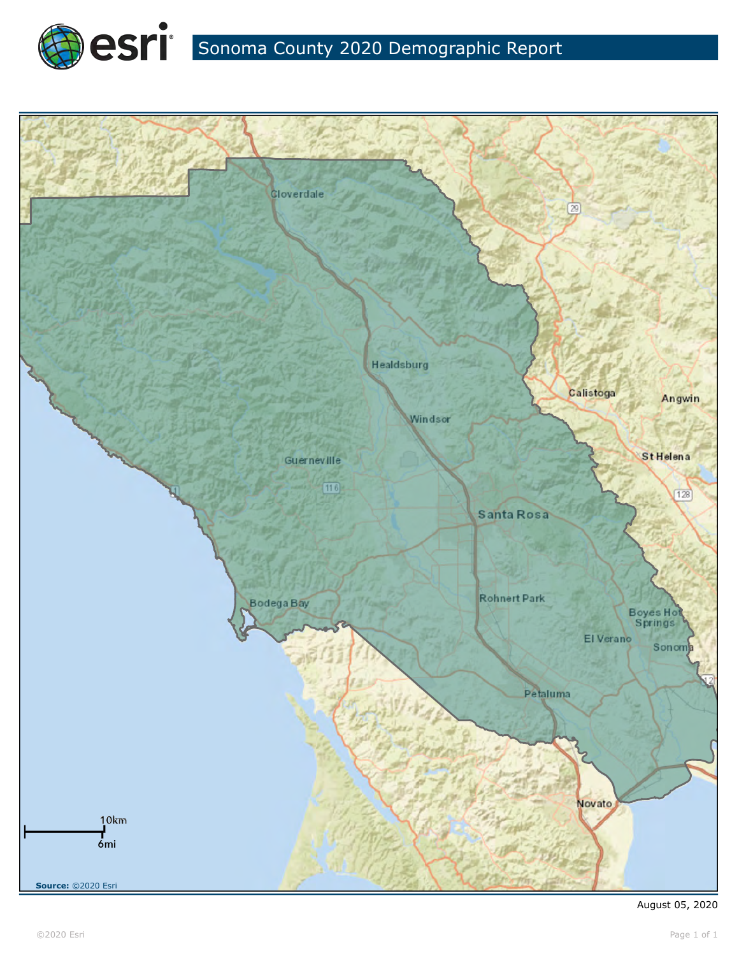



©2020 Esri Page 1 of 1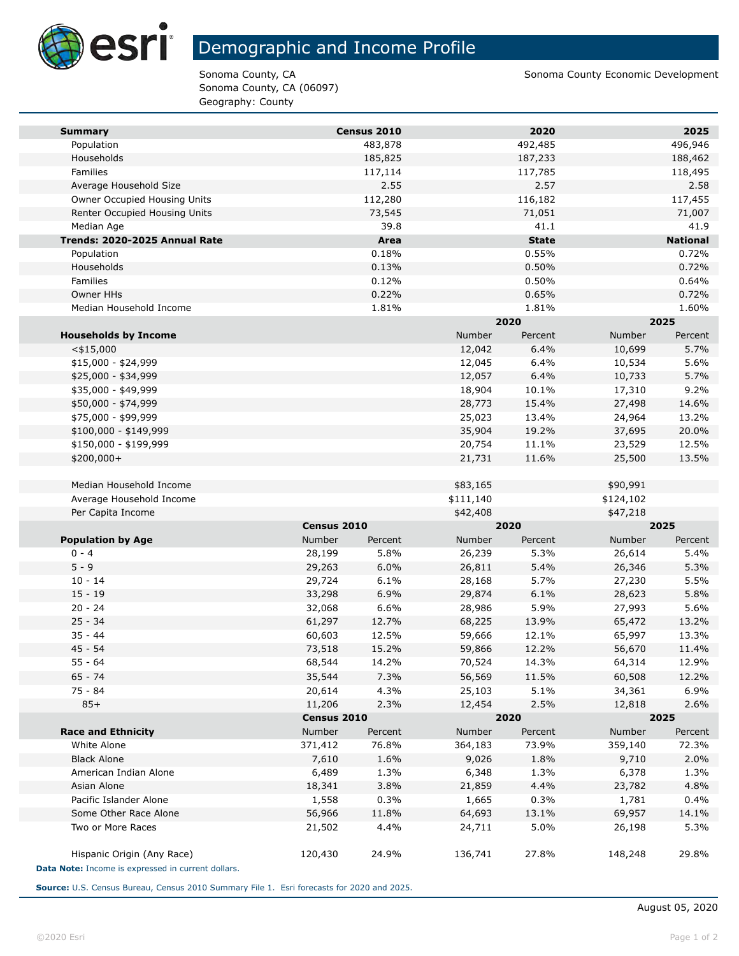

m.

# Demographic and Income Profile

Sonoma County, CA (06097) Geography: County

Sonoma County, CA Sonoma County, CA Sonoma County Economic Development

| <b>Summary</b>                                     |             | Census 2010 |           | 2020         |           | 2025            |
|----------------------------------------------------|-------------|-------------|-----------|--------------|-----------|-----------------|
| Population                                         |             | 483,878     |           | 492,485      |           | 496,946         |
| Households                                         |             | 185,825     |           | 187,233      |           | 188,462         |
| Families                                           |             | 117,114     |           | 117,785      |           | 118,495         |
| Average Household Size                             |             | 2.55        |           | 2.57         |           | 2.58            |
| Owner Occupied Housing Units                       |             | 112,280     |           | 116,182      |           | 117,455         |
| Renter Occupied Housing Units                      |             | 73,545      |           | 71,051       |           | 71,007          |
| Median Age                                         |             | 39.8        |           | 41.1         |           | 41.9            |
| Trends: 2020-2025 Annual Rate                      |             | Area        |           | <b>State</b> |           | <b>National</b> |
| Population                                         |             | 0.18%       |           | 0.55%        |           | 0.72%           |
| Households                                         |             | 0.13%       |           | 0.50%        |           | 0.72%           |
| Families                                           |             | 0.12%       |           | 0.50%        |           | 0.64%           |
| Owner HHs                                          |             | 0.22%       |           | 0.65%        |           | 0.72%           |
| Median Household Income                            |             | 1.81%       |           | 1.81%        |           | 1.60%           |
|                                                    |             |             |           | 2020         |           | 2025            |
| <b>Households by Income</b>                        |             |             | Number    | Percent      | Number    | Percent         |
| $<$ \$15,000                                       |             |             | 12,042    | 6.4%         | 10,699    | 5.7%            |
| $$15,000 - $24,999$                                |             |             | 12,045    | 6.4%         | 10,534    | 5.6%            |
| \$25,000 - \$34,999                                |             |             | 12,057    | 6.4%         | 10,733    | 5.7%            |
| \$35,000 - \$49,999                                |             |             | 18,904    | 10.1%        | 17,310    | 9.2%            |
| \$50,000 - \$74,999                                |             |             | 28,773    | 15.4%        | 27,498    | 14.6%           |
| \$75,000 - \$99,999                                |             |             | 25,023    | 13.4%        | 24,964    | 13.2%           |
| \$100,000 - \$149,999                              |             |             | 35,904    | 19.2%        | 37,695    | 20.0%           |
| \$150,000 - \$199,999                              |             |             | 20,754    | 11.1%        | 23,529    | 12.5%           |
| \$200,000+                                         |             |             | 21,731    | 11.6%        | 25,500    | 13.5%           |
|                                                    |             |             |           |              |           |                 |
| Median Household Income                            |             |             | \$83,165  |              | \$90,991  |                 |
| Average Household Income                           |             |             | \$111,140 |              | \$124,102 |                 |
| Per Capita Income                                  |             |             | \$42,408  |              | \$47,218  |                 |
|                                                    | Census 2010 |             |           | 2020         |           | 2025            |
| <b>Population by Age</b>                           | Number      | Percent     | Number    | Percent      | Number    | Percent         |
| $0 - 4$                                            | 28,199      | 5.8%        | 26,239    | 5.3%         | 26,614    | 5.4%            |
| $5 - 9$                                            | 29,263      | 6.0%        | 26,811    | 5.4%         | 26,346    | 5.3%            |
| $10 - 14$                                          | 29,724      | 6.1%        | 28,168    | 5.7%         | 27,230    | 5.5%            |
| $15 - 19$                                          | 33,298      | 6.9%        | 29,874    | 6.1%         | 28,623    | 5.8%            |
| $20 - 24$                                          | 32,068      | 6.6%        | 28,986    | 5.9%         | 27,993    | 5.6%            |
| $25 - 34$                                          | 61,297      | 12.7%       | 68,225    | 13.9%        | 65,472    | 13.2%           |
| $35 - 44$                                          | 60,603      | 12.5%       | 59,666    | 12.1%        | 65,997    | 13.3%           |
| $45 - 54$                                          | 73,518      | 15.2%       | 59,866    | 12.2%        | 56,670    | 11.4%           |
| $55 - 64$                                          | 68,544      | 14.2%       | 70,524    | 14.3%        | 64,314    | 12.9%           |
| 65 - 74                                            | 35,544      | 7.3%        | 56,569    | 11.5%        | 60,508    | 12.2%           |
| $75 - 84$                                          | 20,614      | 4.3%        | 25,103    | 5.1%         | 34,361    | 6.9%            |
| $85+$                                              | 11,206      | 2.3%        | 12,454    | 2.5%         | 12,818    | 2.6%            |
|                                                    | Census 2010 |             | 2020      |              | 2025      |                 |
| <b>Race and Ethnicity</b>                          | Number      | Percent     | Number    | Percent      | Number    | Percent         |
| White Alone                                        | 371,412     | 76.8%       | 364,183   | 73.9%        | 359,140   | 72.3%           |
| <b>Black Alone</b>                                 | 7,610       | 1.6%        | 9,026     | 1.8%         | 9,710     | 2.0%            |
| American Indian Alone                              | 6,489       | 1.3%        | 6,348     | 1.3%         | 6,378     | 1.3%            |
| Asian Alone                                        | 18,341      | 3.8%        | 21,859    | 4.4%         | 23,782    | 4.8%            |
| Pacific Islander Alone                             | 1,558       | 0.3%        | 1,665     | 0.3%         | 1,781     | 0.4%            |
| Some Other Race Alone                              | 56,966      | 11.8%       | 64,693    | 13.1%        | 69,957    | 14.1%           |
| Two or More Races                                  | 21,502      | 4.4%        | 24,711    | 5.0%         | 26,198    | 5.3%            |
| Hispanic Origin (Any Race)                         | 120,430     | 24.9%       | 136,741   | 27.8%        | 148,248   | 29.8%           |
| Data Note: Income is expressed in current dollars. |             |             |           |              |           |                 |

**Source:** U.S. Census Bureau, Census 2010 Summary File 1. Esri forecasts for 2020 and 2025.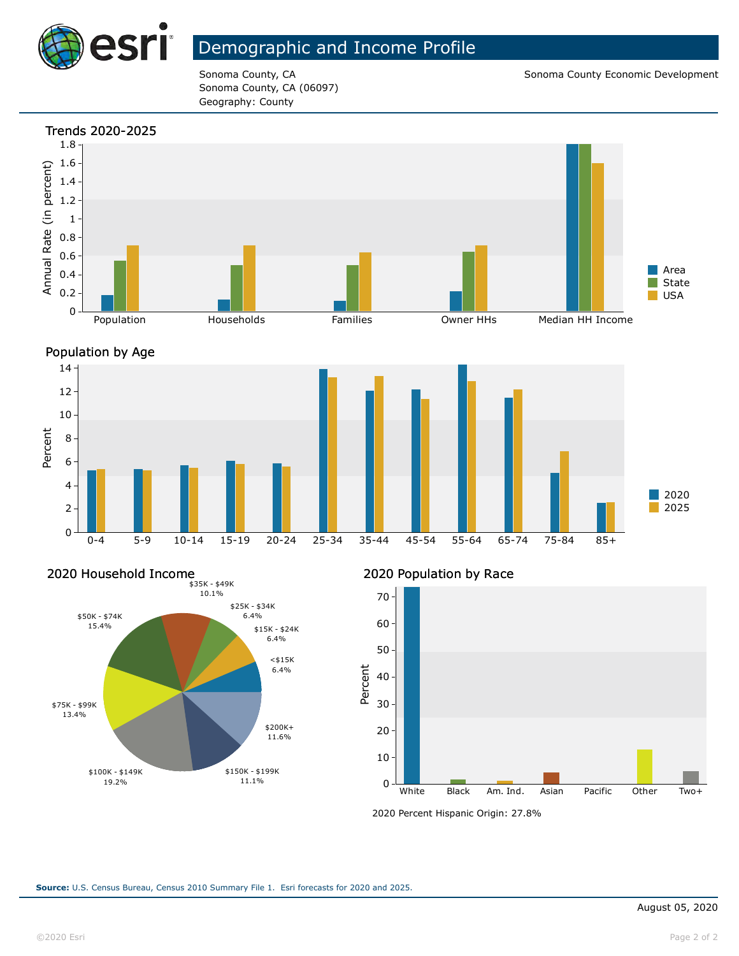

## Demographic and Income Profile

Sonoma County, CA (06097) Geography: County

Sonoma County, CA Sonoma County CA Sonoma County Economic Development







2020 Population by Race



<sup>2020</sup> Percent Hispanic Origin: 27.8%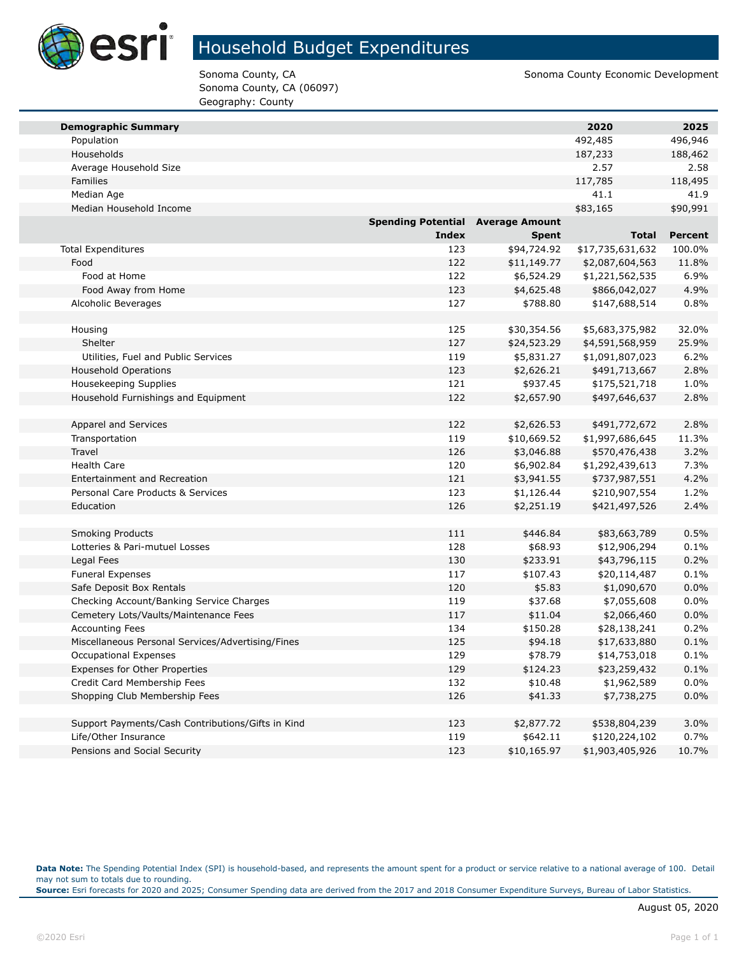

# Household Budget Expenditures

Sonoma County, CA (06097) Geography: County

Sonoma County, CA Sonoma County, CA Sonoma County Economic Development

| <b>Demographic Summary</b>                        |                                          |              | 2020             | 2025           |
|---------------------------------------------------|------------------------------------------|--------------|------------------|----------------|
| Population                                        |                                          |              | 492,485          | 496,946        |
| Households                                        |                                          |              | 187,233          | 188,462        |
| Average Household Size                            |                                          |              | 2.57             | 2.58           |
| Families                                          |                                          |              | 117,785          | 118,495        |
| Median Age                                        |                                          |              | 41.1             | 41.9           |
| Median Household Income                           |                                          |              | \$83,165         | \$90,991       |
|                                                   | <b>Spending Potential Average Amount</b> |              |                  |                |
|                                                   | <b>Index</b>                             | <b>Spent</b> | <b>Total</b>     | <b>Percent</b> |
| <b>Total Expenditures</b>                         | 123                                      | \$94,724.92  | \$17,735,631,632 | 100.0%         |
| Food                                              | 122                                      | \$11,149.77  | \$2,087,604,563  | 11.8%          |
| Food at Home                                      | 122                                      | \$6,524.29   | \$1,221,562,535  | 6.9%           |
| Food Away from Home                               | 123                                      | \$4,625.48   | \$866,042,027    | 4.9%           |
| Alcoholic Beverages                               | 127                                      | \$788.80     | \$147,688,514    | 0.8%           |
|                                                   |                                          |              |                  |                |
| Housing                                           | 125                                      | \$30,354.56  | \$5,683,375,982  | 32.0%          |
| Shelter                                           | 127                                      | \$24,523.29  | \$4,591,568,959  | 25.9%          |
| Utilities, Fuel and Public Services               | 119                                      | \$5,831.27   | \$1,091,807,023  | 6.2%           |
| <b>Household Operations</b>                       | 123                                      | \$2,626.21   | \$491,713,667    | 2.8%           |
| Housekeeping Supplies                             | 121                                      | \$937.45     | \$175,521,718    | 1.0%           |
| Household Furnishings and Equipment               | 122                                      | \$2,657.90   | \$497,646,637    | 2.8%           |
|                                                   |                                          |              |                  |                |
| Apparel and Services                              | 122                                      | \$2,626.53   | \$491,772,672    | 2.8%           |
| Transportation                                    | 119                                      | \$10,669.52  | \$1,997,686,645  | 11.3%          |
| Travel                                            | 126                                      | \$3,046.88   | \$570,476,438    | 3.2%           |
| <b>Health Care</b>                                | 120                                      | \$6,902.84   | \$1,292,439,613  | 7.3%           |
| Entertainment and Recreation                      | 121                                      | \$3,941.55   | \$737,987,551    | 4.2%           |
| Personal Care Products & Services                 | 123                                      | \$1,126.44   | \$210,907,554    | 1.2%           |
| Education                                         | 126                                      | \$2,251.19   | \$421,497,526    | 2.4%           |
|                                                   |                                          |              |                  |                |
| <b>Smoking Products</b>                           | 111                                      | \$446.84     | \$83,663,789     | 0.5%           |
| Lotteries & Pari-mutuel Losses                    | 128                                      | \$68.93      | \$12,906,294     | 0.1%           |
| Legal Fees                                        | 130                                      | \$233.91     | \$43,796,115     | 0.2%           |
| <b>Funeral Expenses</b>                           | 117                                      | \$107.43     | \$20,114,487     | 0.1%           |
| Safe Deposit Box Rentals                          | 120                                      | \$5.83       | \$1,090,670      | 0.0%           |
| Checking Account/Banking Service Charges          | 119                                      | \$37.68      | \$7,055,608      | 0.0%           |
| Cemetery Lots/Vaults/Maintenance Fees             | 117                                      | \$11.04      | \$2,066,460      | 0.0%           |
| <b>Accounting Fees</b>                            | 134                                      | \$150.28     | \$28,138,241     | 0.2%           |
| Miscellaneous Personal Services/Advertising/Fines | 125                                      | \$94.18      | \$17,633,880     | 0.1%           |
| <b>Occupational Expenses</b>                      | 129                                      | \$78.79      | \$14,753,018     | 0.1%           |
| Expenses for Other Properties                     | 129                                      | \$124.23     | \$23,259,432     | 0.1%           |
| Credit Card Membership Fees                       | 132                                      | \$10.48      | \$1,962,589      | 0.0%           |
| Shopping Club Membership Fees                     | 126                                      | \$41.33      | \$7,738,275      | 0.0%           |
|                                                   |                                          |              |                  |                |
| Support Payments/Cash Contributions/Gifts in Kind | 123                                      | \$2,877.72   | \$538,804,239    | 3.0%           |
| Life/Other Insurance                              | 119                                      | \$642.11     | \$120,224,102    | 0.7%           |
| Pensions and Social Security                      | 123                                      | \$10,165.97  | \$1,903,405,926  | 10.7%          |

**Data Note:** The Spending Potential Index (SPI) is household-based, and represents the amount spent for a product or service relative to a national average of 100. Detail may not sum to totals due to rounding.

**Source:** Esri forecasts for 2020 and 2025; Consumer Spending data are derived from the 2017 and 2018 Consumer Expenditure Surveys, Bureau of Labor Statistics.